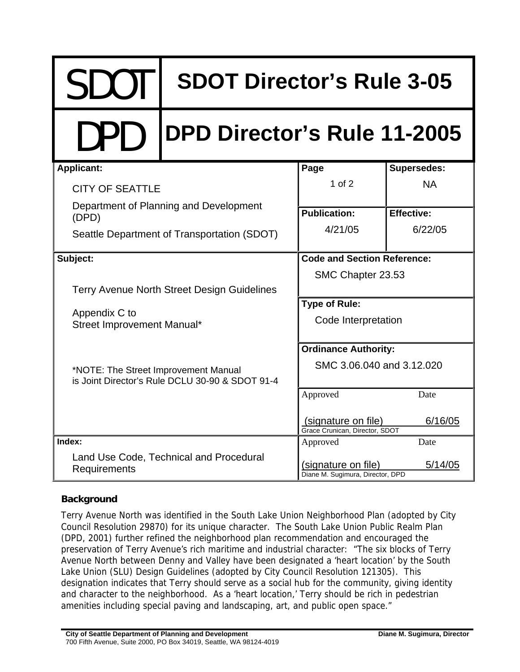# SDOT | SDOT Director's Rule 3-05

# DPD **DPD Director's Rule 11-2005**

| <b>Applicant:</b>                                                                       | Page                                                     | <b>Supersedes:</b> |
|-----------------------------------------------------------------------------------------|----------------------------------------------------------|--------------------|
| <b>CITY OF SEATTLE</b>                                                                  | $1$ of $2$                                               | <b>NA</b>          |
| Department of Planning and Development<br>(DPD)                                         | <b>Publication:</b>                                      | <b>Effective:</b>  |
| Seattle Department of Transportation (SDOT)                                             | 4/21/05                                                  | 6/22/05            |
| Subject:                                                                                | <b>Code and Section Reference:</b>                       |                    |
|                                                                                         | SMC Chapter 23.53                                        |                    |
| Terry Avenue North Street Design Guidelines                                             |                                                          |                    |
|                                                                                         | <b>Type of Rule:</b>                                     |                    |
| Appendix C to<br>Street Improvement Manual*                                             | Code Interpretation                                      |                    |
|                                                                                         | <b>Ordinance Authority:</b><br>SMC 3.06.040 and 3.12.020 |                    |
| *NOTE: The Street Improvement Manual<br>is Joint Director's Rule DCLU 30-90 & SDOT 91-4 |                                                          |                    |
|                                                                                         | Approved                                                 | Date               |
|                                                                                         | (signature on file)<br>Grace Crunican, Director, SDOT    | 6/16/05            |
| Index:                                                                                  | Approved                                                 | Date               |
| Land Use Code, Technical and Procedural<br>Requirements                                 | (signature on file)<br>Diane M. Sugimura, Director, DPD  | 5/14/05            |

## **Background**

Terry Avenue North was identified in the South Lake Union Neighborhood Plan (adopted by City Council Resolution 29870) for its unique character. The South Lake Union Public Realm Plan (DPD, 2001) further refined the neighborhood plan recommendation and encouraged the preservation of Terry Avenue's rich maritime and industrial character: "The six blocks of Terry Avenue North between Denny and Valley have been designated a 'heart location' by the South Lake Union (SLU) Design Guidelines (adopted by City Council Resolution 121305). This designation indicates that Terry should serve as a social hub for the community, giving identity and character to the neighborhood. As a 'heart location,' Terry should be rich in pedestrian amenities including special paving and landscaping, art, and public open space."